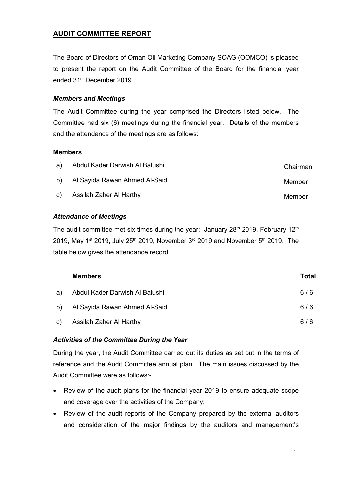# **AUDIT COMMITTEE REPORT**

The Board of Directors of Oman Oil Marketing Company SOAG (OOMCO) is pleased to present the report on the Audit Committee of the Board for the financial year ended 31st December 2019.

#### *Members and Meetings*

The Audit Committee during the year comprised the Directors listed below. The Committee had six (6) meetings during the financial year. Details of the members and the attendance of the meetings are as follows:

#### **Members**

| a) Abdul Kader Darwish Al Balushi | Chairman |
|-----------------------------------|----------|
| b) Al Sayida Rawan Ahmed Al-Said  | Member   |
| c) Assilah Zaher Al Harthy        | Member   |

# *Attendance of Meetings*

The audit committee met six times during the year: January  $28<sup>th</sup>$  2019, February  $12<sup>th</sup>$ 2019, May 1<sup>st</sup> 2019, July 25<sup>th</sup> 2019, November 3<sup>rd</sup> 2019 and November 5<sup>th</sup> 2019. The table below gives the attendance record.

| <b>Members</b>                    | Total |
|-----------------------------------|-------|
| a) Abdul Kader Darwish Al Balushi | 6/6   |
| b) Al Sayida Rawan Ahmed Al-Said  | 6/6   |
| c) Assilah Zaher Al Harthy        | 6/6   |

#### *Activities of the Committee During the Year*

During the year, the Audit Committee carried out its duties as set out in the terms of reference and the Audit Committee annual plan. The main issues discussed by the Audit Committee were as follows:-

- Review of the audit plans for the financial year 2019 to ensure adequate scope and coverage over the activities of the Company;
- Review of the audit reports of the Company prepared by the external auditors and consideration of the major findings by the auditors and management's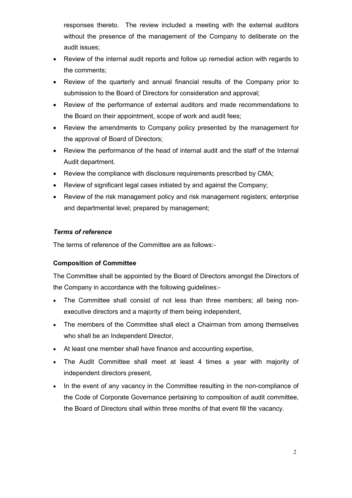responses thereto. The review included a meeting with the external auditors without the presence of the management of the Company to deliberate on the audit issues;

- Review of the internal audit reports and follow up remedial action with regards to the comments;
- Review of the quarterly and annual financial results of the Company prior to submission to the Board of Directors for consideration and approval;
- Review of the performance of external auditors and made recommendations to the Board on their appointment, scope of work and audit fees;
- Review the amendments to Company policy presented by the management for the approval of Board of Directors;
- Review the performance of the head of internal audit and the staff of the Internal Audit department.
- Review the compliance with disclosure requirements prescribed by CMA;
- Review of significant legal cases initiated by and against the Company;
- Review of the risk management policy and risk management registers; enterprise and departmental level; prepared by management;

# *Terms of reference*

The terms of reference of the Committee are as follows:-

# **Composition of Committee**

The Committee shall be appointed by the Board of Directors amongst the Directors of the Company in accordance with the following guidelines:-

- The Committee shall consist of not less than three members; all being nonexecutive directors and a majority of them being independent,
- The members of the Committee shall elect a Chairman from among themselves who shall be an Independent Director,
- At least one member shall have finance and accounting expertise,
- The Audit Committee shall meet at least 4 times a year with majority of independent directors present,
- In the event of any vacancy in the Committee resulting in the non-compliance of the Code of Corporate Governance pertaining to composition of audit committee, the Board of Directors shall within three months of that event fill the vacancy.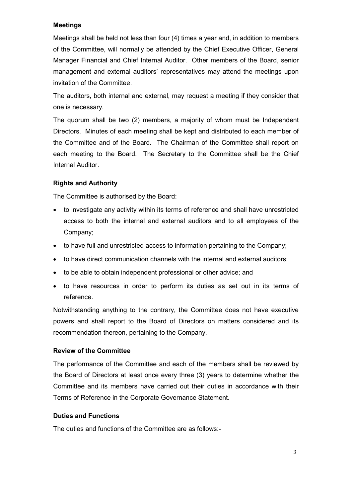#### **Meetings**

Meetings shall be held not less than four (4) times a year and, in addition to members of the Committee, will normally be attended by the Chief Executive Officer, General Manager Financial and Chief Internal Auditor. Other members of the Board, senior management and external auditors' representatives may attend the meetings upon invitation of the Committee.

The auditors, both internal and external, may request a meeting if they consider that one is necessary.

The quorum shall be two (2) members, a majority of whom must be Independent Directors. Minutes of each meeting shall be kept and distributed to each member of the Committee and of the Board. The Chairman of the Committee shall report on each meeting to the Board. The Secretary to the Committee shall be the Chief Internal Auditor.

#### **Rights and Authority**

The Committee is authorised by the Board:

- to investigate any activity within its terms of reference and shall have unrestricted access to both the internal and external auditors and to all employees of the Company;
- to have full and unrestricted access to information pertaining to the Company;
- to have direct communication channels with the internal and external auditors;
- to be able to obtain independent professional or other advice; and
- to have resources in order to perform its duties as set out in its terms of reference.

Notwithstanding anything to the contrary, the Committee does not have executive powers and shall report to the Board of Directors on matters considered and its recommendation thereon, pertaining to the Company.

#### **Review of the Committee**

The performance of the Committee and each of the members shall be reviewed by the Board of Directors at least once every three (3) years to determine whether the Committee and its members have carried out their duties in accordance with their Terms of Reference in the Corporate Governance Statement.

#### **Duties and Functions**

The duties and functions of the Committee are as follows:-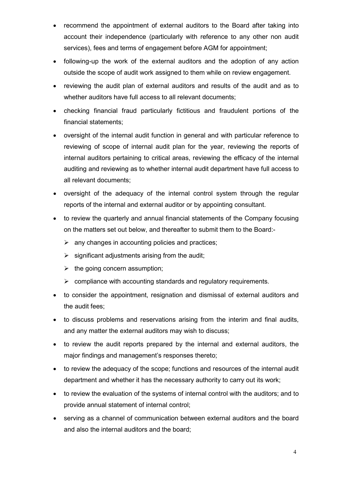- recommend the appointment of external auditors to the Board after taking into account their independence (particularly with reference to any other non audit services), fees and terms of engagement before AGM for appointment;
- following-up the work of the external auditors and the adoption of any action outside the scope of audit work assigned to them while on review engagement.
- reviewing the audit plan of external auditors and results of the audit and as to whether auditors have full access to all relevant documents;
- checking financial fraud particularly fictitious and fraudulent portions of the financial statements;
- oversight of the internal audit function in general and with particular reference to reviewing of scope of internal audit plan for the year, reviewing the reports of internal auditors pertaining to critical areas, reviewing the efficacy of the internal auditing and reviewing as to whether internal audit department have full access to all relevant documents;
- oversight of the adequacy of the internal control system through the regular reports of the internal and external auditor or by appointing consultant.
- to review the quarterly and annual financial statements of the Company focusing on the matters set out below, and thereafter to submit them to the Board:-
	- $\triangleright$  any changes in accounting policies and practices;
	- $\triangleright$  significant adjustments arising from the audit;
	- $\triangleright$  the going concern assumption;
	- $\triangleright$  compliance with accounting standards and regulatory requirements.
- to consider the appointment, resignation and dismissal of external auditors and the audit fees;
- to discuss problems and reservations arising from the interim and final audits, and any matter the external auditors may wish to discuss;
- to review the audit reports prepared by the internal and external auditors, the major findings and management's responses thereto;
- to review the adequacy of the scope; functions and resources of the internal audit department and whether it has the necessary authority to carry out its work;
- to review the evaluation of the systems of internal control with the auditors; and to provide annual statement of internal control;
- serving as a channel of communication between external auditors and the board and also the internal auditors and the board;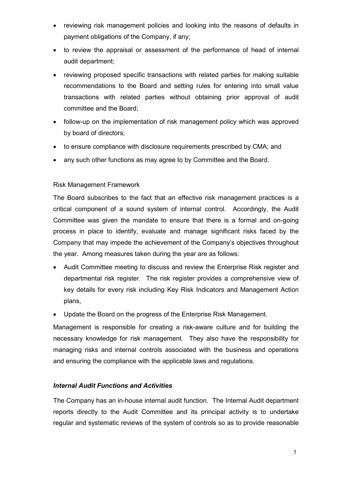- reviewing risk management policies and looking into the reasons of defaults in payment obligations of the Company, if any;
- to review the appraisal or assessment of the performance of head of internal audit department;
- reviewing proposed specific transactions with related parties for making suitable recommendations to the Board and setting rules for entering into small value transactions with related parties without obtaining prior approval of audit committee and the Board;
- follow-up on the implementation of risk management policy which was approved by board of directors;
- to ensure compliance with disclosure requirements prescribed by CMA; and
- any such other functions as may agree to by Committee and the Board.

# Risk Management Framework

The Board subscribes to the fact that an effective risk management practices is a critical component of a sound system of internal control. Accordingly, the Audit Committee was given the mandate to ensure that there is a formal and on-going process in place to identify, evaluate and manage significant risks faced by the Company that may impede the achievement of the Company's objectives throughout the year. Among measures taken during the year are as follows:

- Audit Committee meeting to discuss and review the Enterprise Risk register and departmental risk register. The risk register provides a comprehensive view of key details for every risk including Key Risk Indicators and Management Action plans,
- Update the Board on the progress of the Enterprise Risk Management.

Management is responsible for creating a risk-aware culture and for building the necessary knowledge for risk management. They also have the responsibility for managing risks and internal controls associated with the business and operations and ensuring the compliance with the applicable laws and regulations.

#### *Internal Audit Functions and Activities*

The Company has an in-house internal audit function. The Internal Audit department reports directly to the Audit Committee and its principal activity is to undertake regular and systematic reviews of the system of controls so as to provide reasonable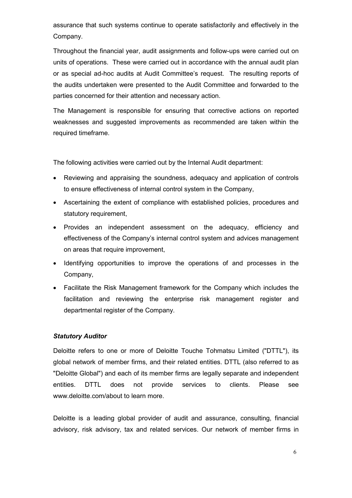assurance that such systems continue to operate satisfactorily and effectively in the Company.

Throughout the financial year, audit assignments and follow-ups were carried out on units of operations. These were carried out in accordance with the annual audit plan or as special ad-hoc audits at Audit Committee's request. The resulting reports of the audits undertaken were presented to the Audit Committee and forwarded to the parties concerned for their attention and necessary action.

The Management is responsible for ensuring that corrective actions on reported weaknesses and suggested improvements as recommended are taken within the required timeframe.

The following activities were carried out by the Internal Audit department:

- Reviewing and appraising the soundness, adequacy and application of controls to ensure effectiveness of internal control system in the Company,
- Ascertaining the extent of compliance with established policies, procedures and statutory requirement,
- Provides an independent assessment on the adequacy, efficiency and effectiveness of the Company's internal control system and advices management on areas that require improvement,
- Identifying opportunities to improve the operations of and processes in the Company,
- Facilitate the Risk Management framework for the Company which includes the facilitation and reviewing the enterprise risk management register and departmental register of the Company.

#### *Statutory Auditor*

Deloitte refers to one or more of Deloitte Touche Tohmatsu Limited ("DTTL"), its global network of member firms, and their related entities. DTTL (also referred to as "Deloitte Global") and each of its member firms are legally separate and independent entities. DTTL does not provide services to clients. Please see www.deloitte.com/about to learn more.

Deloitte is a leading global provider of audit and assurance, consulting, financial advisory, risk advisory, tax and related services. Our network of member firms in